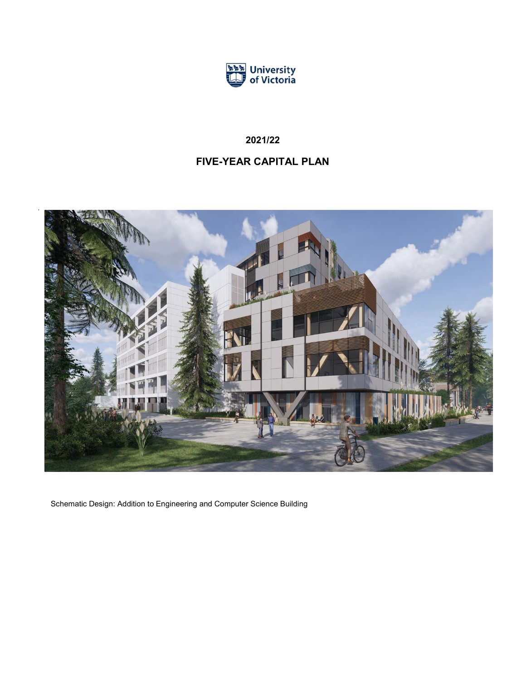

# **2021/22**

# **FIVE-YEAR CAPITAL PLAN**



Schematic Design: Addition to Engineering and Computer Science Building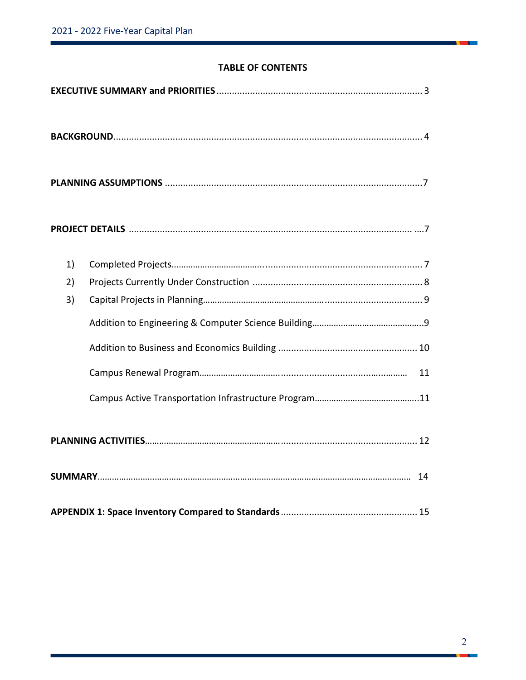## **TABLE OF CONTENTS**

| 1) |
|----|
| 2) |
| 3) |
|    |
|    |
| 11 |
|    |
|    |
|    |
|    |
|    |

n.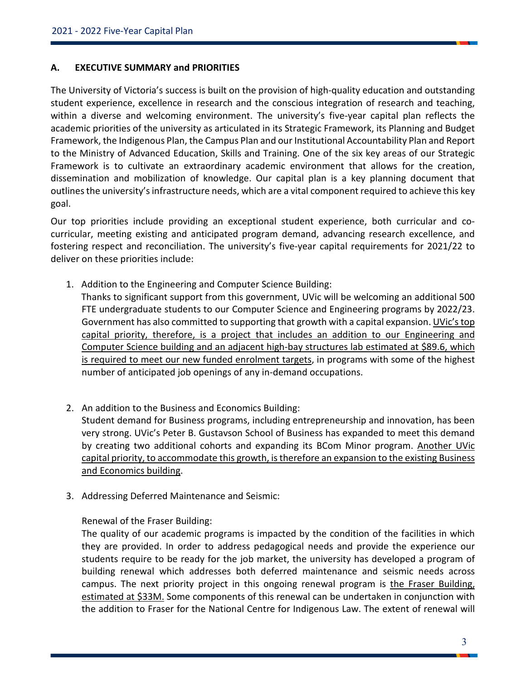## **A. EXECUTIVE SUMMARY and PRIORITIES**

The University of Victoria's success is built on the provision of high-quality education and outstanding student experience, excellence in research and the conscious integration of research and teaching, within a diverse and welcoming environment. The university's five-year capital plan reflects the academic priorities of the university as articulated in its Strategic Framework, its Planning and Budget Framework, the Indigenous Plan, the Campus Plan and our Institutional Accountability Plan and Report to the Ministry of Advanced Education, Skills and Training. One of the six key areas of our Strategic Framework is to cultivate an extraordinary academic environment that allows for the creation, dissemination and mobilization of knowledge. Our capital plan is a key planning document that outlines the university's infrastructure needs, which are a vital component required to achieve this key goal.

Our top priorities include providing an exceptional student experience, both curricular and cocurricular, meeting existing and anticipated program demand, advancing research excellence, and fostering respect and reconciliation. The university's five-year capital requirements for 2021/22 to deliver on these priorities include:

1. Addition to the Engineering and Computer Science Building:

Thanks to significant support from this government, UVic will be welcoming an additional 500 FTE undergraduate students to our Computer Science and Engineering programs by 2022/23. Government has also committed to supporting that growth with a capital expansion. UVic's top capital priority, therefore, is a project that includes an addition to our Engineering and Computer Science building and an adjacent high-bay structures lab estimated at \$89.6, which is required to meet our new funded enrolment targets, in programs with some of the highest number of anticipated job openings of any in-demand occupations.

- 2. An addition to the Business and Economics Building: Student demand for Business programs, including entrepreneurship and innovation, has been very strong. UVic's Peter B. Gustavson School of Business has expanded to meet this demand by creating two additional cohorts and expanding its BCom Minor program. Another UVic capital priority, to accommodate this growth, is therefore an expansion to the existing Business and Economics building.
- 3. Addressing Deferred Maintenance and Seismic:

## Renewal of the Fraser Building:

The quality of our academic programs is impacted by the condition of the facilities in which they are provided. In order to address pedagogical needs and provide the experience our students require to be ready for the job market, the university has developed a program of building renewal which addresses both deferred maintenance and seismic needs across campus. The next priority project in this ongoing renewal program is the Fraser Building, estimated at \$33M. Some components of this renewal can be undertaken in conjunction with the addition to Fraser for the National Centre for Indigenous Law. The extent of renewal will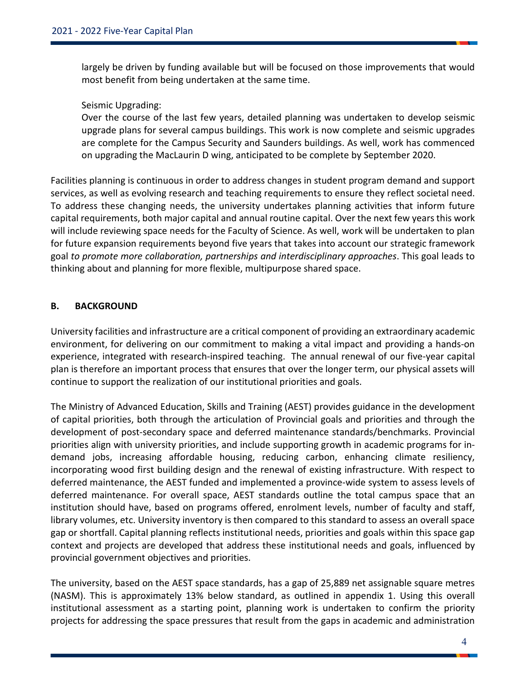largely be driven by funding available but will be focused on those improvements that would most benefit from being undertaken at the same time.

## Seismic Upgrading:

Over the course of the last few years, detailed planning was undertaken to develop seismic upgrade plans for several campus buildings. This work is now complete and seismic upgrades are complete for the Campus Security and Saunders buildings. As well, work has commenced on upgrading the MacLaurin D wing, anticipated to be complete by September 2020.

Facilities planning is continuous in order to address changes in student program demand and support services, as well as evolving research and teaching requirements to ensure they reflect societal need. To address these changing needs, the university undertakes planning activities that inform future capital requirements, both major capital and annual routine capital. Over the next few years this work will include reviewing space needs for the Faculty of Science. As well, work will be undertaken to plan for future expansion requirements beyond five years that takes into account our strategic framework goal *to promote more collaboration, partnerships and interdisciplinary approaches*. This goal leads to thinking about and planning for more flexible, multipurpose shared space.

## **B. BACKGROUND**

University facilities and infrastructure are a critical component of providing an extraordinary academic environment, for delivering on our commitment to making a vital impact and providing a hands-on experience, integrated with research-inspired teaching. The annual renewal of our five-year capital plan is therefore an important process that ensures that over the longer term, our physical assets will continue to support the realization of our institutional priorities and goals.

The Ministry of Advanced Education, Skills and Training (AEST) provides guidance in the development of capital priorities, both through the articulation of Provincial goals and priorities and through the development of post-secondary space and deferred maintenance standards/benchmarks. Provincial priorities align with university priorities, and include supporting growth in academic programs for indemand jobs, increasing affordable housing, reducing carbon, enhancing climate resiliency, incorporating wood first building design and the renewal of existing infrastructure. With respect to deferred maintenance, the AEST funded and implemented a province-wide system to assess levels of deferred maintenance. For overall space, AEST standards outline the total campus space that an institution should have, based on programs offered, enrolment levels, number of faculty and staff, library volumes, etc. University inventory is then compared to this standard to assess an overall space gap or shortfall. Capital planning reflects institutional needs, priorities and goals within this space gap context and projects are developed that address these institutional needs and goals, influenced by provincial government objectives and priorities.

The university, based on the AEST space standards, has a gap of 25,889 net assignable square metres (NASM). This is approximately 13% below standard, as outlined in appendix 1. Using this overall institutional assessment as a starting point, planning work is undertaken to confirm the priority projects for addressing the space pressures that result from the gaps in academic and administration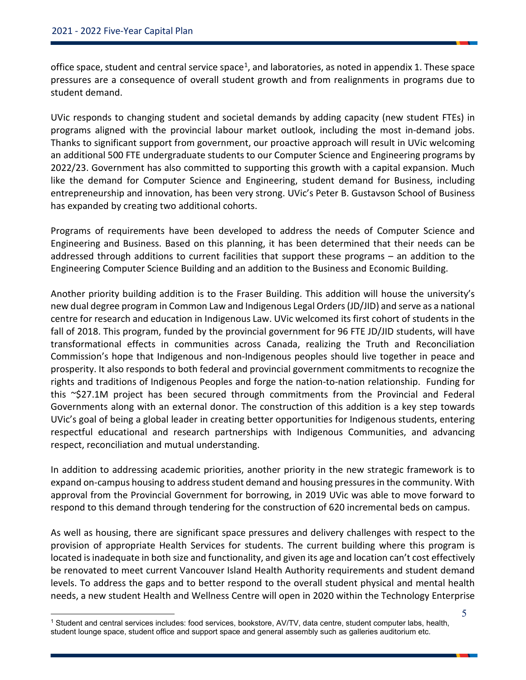office space, student and central service space<sup>1</sup>, and laboratories, as noted in appendix 1. These space pressures are a consequence of overall student growth and from realignments in programs due to student demand.

UVic responds to changing student and societal demands by adding capacity (new student FTEs) in programs aligned with the provincial labour market outlook, including the most in-demand jobs. Thanks to significant support from government, our proactive approach will result in UVic welcoming an additional 500 FTE undergraduate students to our Computer Science and Engineering programs by 2022/23. Government has also committed to supporting this growth with a capital expansion. Much like the demand for Computer Science and Engineering, student demand for Business, including entrepreneurship and innovation, has been very strong. UVic's Peter B. Gustavson School of Business has expanded by creating two additional cohorts.

Programs of requirements have been developed to address the needs of Computer Science and Engineering and Business. Based on this planning, it has been determined that their needs can be addressed through additions to current facilities that support these programs – an addition to the Engineering Computer Science Building and an addition to the Business and Economic Building.

Another priority building addition is to the Fraser Building. This addition will house the university's new dual degree program in Common Law and Indigenous Legal Orders (JD/JID) and serve as a national centre for research and education in Indigenous Law. UVic welcomed its first cohort of students in the fall of 2018. This program, funded by the provincial government for 96 FTE JD/JID students, will have transformational effects in communities across Canada, realizing the Truth and Reconciliation Commission's hope that Indigenous and non-Indigenous peoples should live together in peace and prosperity. It also responds to both federal and provincial government commitments to recognize the rights and traditions of Indigenous Peoples and forge the nation-to-nation relationship. Funding for this ~\$27.1M project has been secured through commitments from the Provincial and Federal Governments along with an external donor. The construction of this addition is a key step towards UVic's goal of being a global leader in creating better opportunities for Indigenous students, entering respectful educational and research partnerships with Indigenous Communities, and advancing respect, reconciliation and mutual understanding.

In addition to addressing academic priorities, another priority in the new strategic framework is to expand on-campus housing to address student demand and housing pressures in the community. With approval from the Provincial Government for borrowing, in 2019 UVic was able to move forward to respond to this demand through tendering for the construction of 620 incremental beds on campus.

As well as housing, there are significant space pressures and delivery challenges with respect to the provision of appropriate Health Services for students. The current building where this program is located is inadequate in both size and functionality, and given its age and location can't cost effectively be renovated to meet current Vancouver Island Health Authority requirements and student demand levels. To address the gaps and to better respond to the overall student physical and mental health needs, a new student Health and Wellness Centre will open in 2020 within the Technology Enterprise

<span id="page-4-0"></span> <sup>1</sup> Student and central services includes: food services, bookstore, AV/TV, data centre, student computer labs, health, student lounge space, student office and support space and general assembly such as galleries auditorium etc.

<sup>5</sup>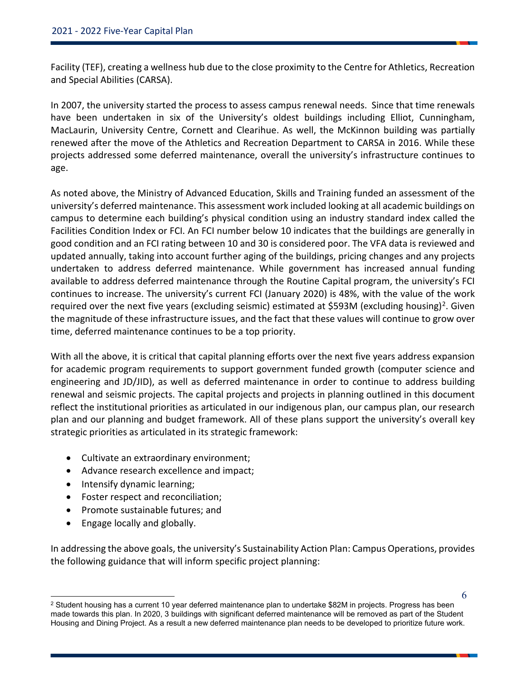Facility (TEF), creating a wellness hub due to the close proximity to the Centre for Athletics, Recreation and Special Abilities (CARSA).

In 2007, the university started the process to assess campus renewal needs. Since that time renewals have been undertaken in six of the University's oldest buildings including Elliot, Cunningham, MacLaurin, University Centre, Cornett and Clearihue. As well, the McKinnon building was partially renewed after the move of the Athletics and Recreation Department to CARSA in 2016. While these projects addressed some deferred maintenance, overall the university's infrastructure continues to age.

As noted above, the Ministry of Advanced Education, Skills and Training funded an assessment of the university's deferred maintenance. This assessment work included looking at all academic buildings on campus to determine each building's physical condition using an industry standard index called the Facilities Condition Index or FCI. An FCI number below 10 indicates that the buildings are generally in good condition and an FCI rating between 10 and 30 is considered poor. The VFA data is reviewed and updated annually, taking into account further aging of the buildings, pricing changes and any projects undertaken to address deferred maintenance. While government has increased annual funding available to address deferred maintenance through the Routine Capital program, the university's FCI continues to increase. The university's current FCI (January 2020) is 48%, with the value of the work required over the next five years (excluding seismic) estimated at \$593M (excluding housing)<sup>[2](#page-5-0)</sup>. Given the magnitude of these infrastructure issues, and the fact that these values will continue to grow over time, deferred maintenance continues to be a top priority.

With all the above, it is critical that capital planning efforts over the next five years address expansion for academic program requirements to support government funded growth (computer science and engineering and JD/JID), as well as deferred maintenance in order to continue to address building renewal and seismic projects. The capital projects and projects in planning outlined in this document reflect the institutional priorities as articulated in our indigenous plan, our campus plan, our research plan and our planning and budget framework. All of these plans support the university's overall key strategic priorities as articulated in its strategic framework:

- Cultivate an extraordinary environment;
- Advance research excellence and impact;
- Intensify dynamic learning;
- Foster respect and reconciliation;
- Promote sustainable futures; and
- Engage locally and globally.

In addressing the above goals, the university's Sustainability Action Plan: Campus Operations, provides the following guidance that will inform specific project planning:

<span id="page-5-0"></span> $2$  Student housing has a current 10 year deferred maintenance plan to undertake \$82M in projects. Progress has been made towards this plan. In 2020, 3 buildings with significant deferred maintenance will be removed as part of the Student Housing and Dining Project. As a result a new deferred maintenance plan needs to be developed to prioritize future work.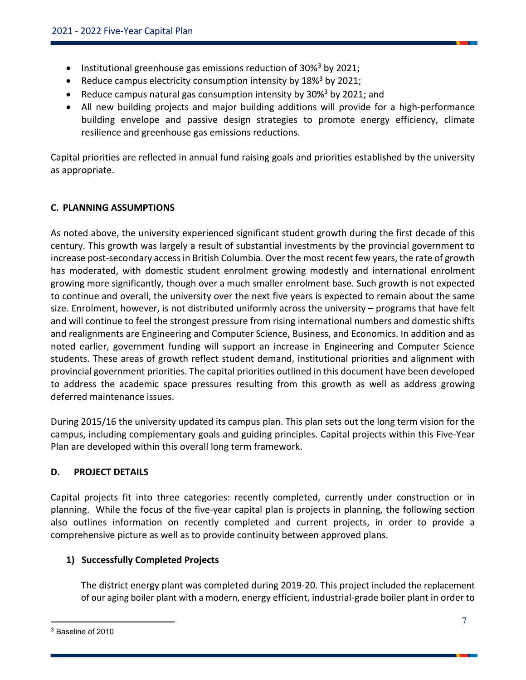- Institutional greenhouse gas emissions reduction of 30%[3](#page-6-0) by 2021;
- Reduce campus electricity consumption intensity by  $18\%$ <sup>3</sup> by 2021;
- Reduce campus natural gas consumption intensity by  $30\%$ <sup>3</sup> by 2021; and
- All new building projects and major building additions will provide for a high-performance building envelope and passive design strategies to promote energy efficiency, climate resilience and greenhouse gas emissions reductions.

Capital priorities are reflected in annual fund raising goals and priorities established by the university as appropriate.

## **C. PLANNING ASSUMPTIONS**

As noted above, the university experienced significant student growth during the first decade of this century. This growth was largely a result of substantial investments by the provincial government to increase post-secondary access in British Columbia. Over the most recent few years, the rate of growth has moderated, with domestic student enrolment growing modestly and international enrolment growing more significantly, though over a much smaller enrolment base. Such growth is not expected to continue and overall, the university over the next five years is expected to remain about the same size. Enrolment, however, is not distributed uniformly across the university – programs that have felt and will continue to feel the strongest pressure from rising international numbers and domestic shifts and realignments are Engineering and Computer Science, Business, and Economics. In addition and as noted earlier, government funding will support an increase in Engineering and Computer Science students. These areas of growth reflect student demand, institutional priorities and alignment with provincial government priorities. The capital priorities outlined in this document have been developed to address the academic space pressures resulting from this growth as well as address growing deferred maintenance issues.

During 2015/16 the university updated its campus plan. This plan sets out the long term vision for the campus, including complementary goals and guiding principles. Capital projects within this Five-Year Plan are developed within this overall long term framework.

## **D. PROJECT DETAILS**

Capital projects fit into three categories: recently completed, currently under construction or in planning. While the focus of the five-year capital plan is projects in planning, the following section also outlines information on recently completed and current projects, in order to provide a comprehensive picture as well as to provide continuity between approved plans.

## **1) Successfully Completed Projects**

The district energy plant was completed during 2019-20. This project included the replacement of our aging boiler plant with a modern, energy efficient, industrial-grade boiler plant in order to

<span id="page-6-0"></span> $3$  Baseline of 2010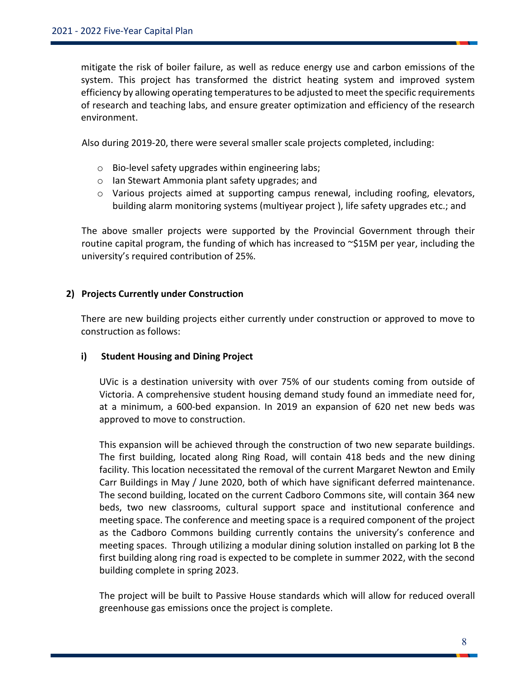mitigate the risk of boiler failure, as well as reduce energy use and carbon emissions of the system. This project has transformed the district heating system and improved system efficiency by allowing operating temperatures to be adjusted to meet the specific requirements of research and teaching labs, and ensure greater optimization and efficiency of the research environment.

Also during 2019-20, there were several smaller scale projects completed, including:

- o Bio-level safety upgrades within engineering labs;
- o Ian Stewart Ammonia plant safety upgrades; and
- o Various projects aimed at supporting campus renewal, including roofing, elevators, building alarm monitoring systems (multiyear project ), life safety upgrades etc.; and

The above smaller projects were supported by the Provincial Government through their routine capital program, the funding of which has increased to ~\$15M per year, including the university's required contribution of 25%.

#### **2) Projects Currently under Construction**

There are new building projects either currently under construction or approved to move to construction as follows:

#### **i) Student Housing and Dining Project**

UVic is a destination university with over 75% of our students coming from outside of Victoria. A comprehensive student housing demand study found an immediate need for, at a minimum, a 600-bed expansion. In 2019 an expansion of 620 net new beds was approved to move to construction.

This expansion will be achieved through the construction of two new separate buildings. The first building, located along Ring Road, will contain 418 beds and the new dining facility. This location necessitated the removal of the current Margaret Newton and Emily Carr Buildings in May / June 2020, both of which have significant deferred maintenance. The second building, located on the current Cadboro Commons site, will contain 364 new beds, two new classrooms, cultural support space and institutional conference and meeting space. The conference and meeting space is a required component of the project as the Cadboro Commons building currently contains the university's conference and meeting spaces. Through utilizing a modular dining solution installed on parking lot B the first building along ring road is expected to be complete in summer 2022, with the second building complete in spring 2023.

The project will be built to Passive House standards which will allow for reduced overall greenhouse gas emissions once the project is complete.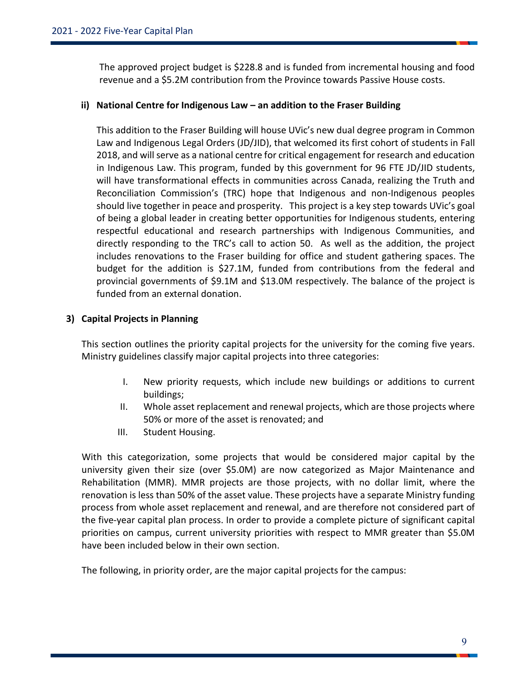The approved project budget is \$228.8 and is funded from incremental housing and food revenue and a \$5.2M contribution from the Province towards Passive House costs.

#### **ii) National Centre for Indigenous Law – an addition to the Fraser Building**

This addition to the Fraser Building will house UVic's new dual degree program in Common Law and Indigenous Legal Orders (JD/JID), that welcomed its first cohort of students in Fall 2018, and will serve as a national centre for critical engagement for research and education in Indigenous Law. This program, funded by this government for 96 FTE JD/JID students, will have transformational effects in communities across Canada, realizing the Truth and Reconciliation Commission's (TRC) hope that Indigenous and non-Indigenous peoples should live together in peace and prosperity. This project is a key step towards UVic's goal of being a global leader in creating better opportunities for Indigenous students, entering respectful educational and research partnerships with Indigenous Communities, and directly responding to the TRC's call to action 50. As well as the addition, the project includes renovations to the Fraser building for office and student gathering spaces. The budget for the addition is \$27.1M, funded from contributions from the federal and provincial governments of \$9.1M and \$13.0M respectively. The balance of the project is funded from an external donation.

## **3) Capital Projects in Planning**

This section outlines the priority capital projects for the university for the coming five years. Ministry guidelines classify major capital projects into three categories:

- I. New priority requests, which include new buildings or additions to current buildings;
- II. Whole asset replacement and renewal projects, which are those projects where 50% or more of the asset is renovated; and
- III. Student Housing.

With this categorization, some projects that would be considered major capital by the university given their size (over \$5.0M) are now categorized as Major Maintenance and Rehabilitation (MMR). MMR projects are those projects, with no dollar limit, where the renovation is less than 50% of the asset value. These projects have a separate Ministry funding process from whole asset replacement and renewal, and are therefore not considered part of the five-year capital plan process. In order to provide a complete picture of significant capital priorities on campus, current university priorities with respect to MMR greater than \$5.0M have been included below in their own section.

The following, in priority order, are the major capital projects for the campus: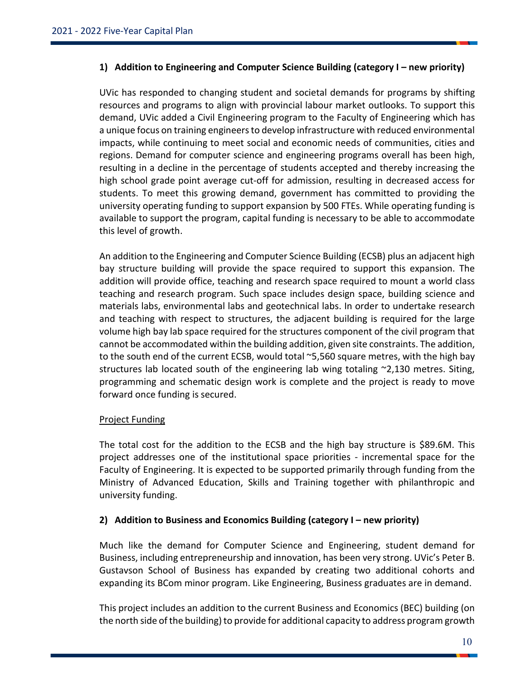#### **1) Addition to Engineering and Computer Science Building (category I – new priority)**

UVic has responded to changing student and societal demands for programs by shifting resources and programs to align with provincial labour market outlooks. To support this demand, UVic added a Civil Engineering program to the Faculty of Engineering which has a unique focus on training engineers to develop infrastructure with reduced environmental impacts, while continuing to meet social and economic needs of communities, cities and regions. Demand for computer science and engineering programs overall has been high, resulting in a decline in the percentage of students accepted and thereby increasing the high school grade point average cut-off for admission, resulting in decreased access for students. To meet this growing demand, government has committed to providing the university operating funding to support expansion by 500 FTEs. While operating funding is available to support the program, capital funding is necessary to be able to accommodate this level of growth.

An addition to the Engineering and Computer Science Building (ECSB) plus an adjacent high bay structure building will provide the space required to support this expansion. The addition will provide office, teaching and research space required to mount a world class teaching and research program. Such space includes design space, building science and materials labs, environmental labs and geotechnical labs. In order to undertake research and teaching with respect to structures, the adjacent building is required for the large volume high bay lab space required for the structures component of the civil program that cannot be accommodated within the building addition, given site constraints. The addition, to the south end of the current ECSB, would total ~5,560 square metres, with the high bay structures lab located south of the engineering lab wing totaling ~2,130 metres. Siting, programming and schematic design work is complete and the project is ready to move forward once funding is secured.

## Project Funding

The total cost for the addition to the ECSB and the high bay structure is \$89.6M. This project addresses one of the institutional space priorities - incremental space for the Faculty of Engineering. It is expected to be supported primarily through funding from the Ministry of Advanced Education, Skills and Training together with philanthropic and university funding.

## **2) Addition to Business and Economics Building (category I – new priority)**

Much like the demand for Computer Science and Engineering, student demand for Business, including entrepreneurship and innovation, has been very strong. UVic's Peter B. Gustavson School of Business has expanded by creating two additional cohorts and expanding its BCom minor program. Like Engineering, Business graduates are in demand.

This project includes an addition to the current Business and Economics (BEC) building (on the north side of the building) to provide for additional capacity to address program growth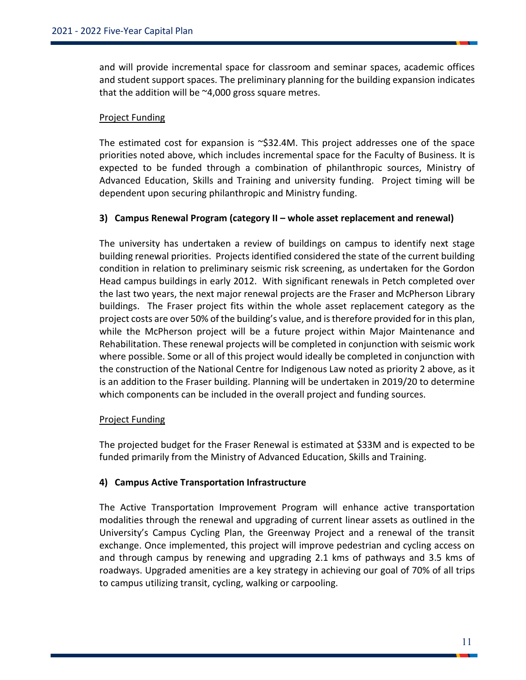and will provide incremental space for classroom and seminar spaces, academic offices and student support spaces. The preliminary planning for the building expansion indicates that the addition will be ~4,000 gross square metres.

## Project Funding

The estimated cost for expansion is  $\sim$ \$32.4M. This project addresses one of the space priorities noted above, which includes incremental space for the Faculty of Business. It is expected to be funded through a combination of philanthropic sources, Ministry of Advanced Education, Skills and Training and university funding. Project timing will be dependent upon securing philanthropic and Ministry funding.

#### **3) Campus Renewal Program (category II – whole asset replacement and renewal)**

The university has undertaken a review of buildings on campus to identify next stage building renewal priorities. Projects identified considered the state of the current building condition in relation to preliminary seismic risk screening, as undertaken for the Gordon Head campus buildings in early 2012. With significant renewals in Petch completed over the last two years, the next major renewal projects are the Fraser and McPherson Library buildings. The Fraser project fits within the whole asset replacement category as the project costs are over 50% of the building's value, and is therefore provided for in this plan, while the McPherson project will be a future project within Major Maintenance and Rehabilitation. These renewal projects will be completed in conjunction with seismic work where possible. Some or all of this project would ideally be completed in conjunction with the construction of the National Centre for Indigenous Law noted as priority 2 above, as it is an addition to the Fraser building. Planning will be undertaken in 2019/20 to determine which components can be included in the overall project and funding sources.

#### Project Funding

The projected budget for the Fraser Renewal is estimated at \$33M and is expected to be funded primarily from the Ministry of Advanced Education, Skills and Training.

## **4) Campus Active Transportation Infrastructure**

The Active Transportation Improvement Program will enhance active transportation modalities through the renewal and upgrading of current linear assets as outlined in the University's Campus Cycling Plan, the Greenway Project and a renewal of the transit exchange. Once implemented, this project will improve pedestrian and cycling access on and through campus by renewing and upgrading 2.1 kms of pathways and 3.5 kms of roadways. Upgraded amenities are a key strategy in achieving our goal of 70% of all trips to campus utilizing transit, cycling, walking or carpooling.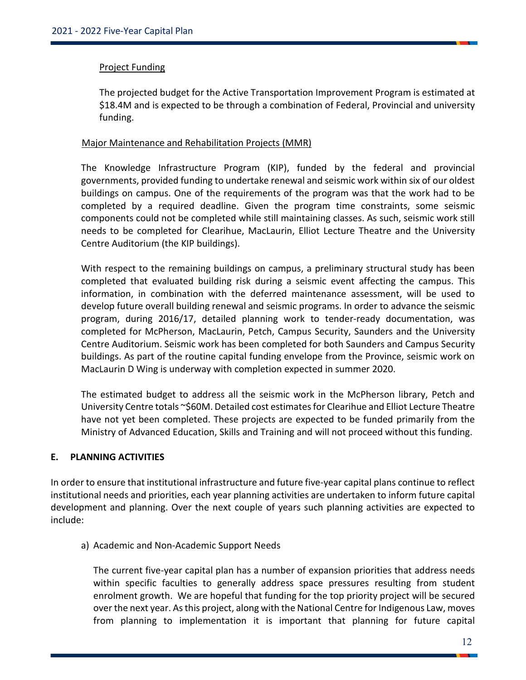#### Project Funding

The projected budget for the Active Transportation Improvement Program is estimated at \$18.4M and is expected to be through a combination of Federal, Provincial and university funding.

#### Major Maintenance and Rehabilitation Projects (MMR)

The Knowledge Infrastructure Program (KIP), funded by the federal and provincial governments, provided funding to undertake renewal and seismic work within six of our oldest buildings on campus. One of the requirements of the program was that the work had to be completed by a required deadline. Given the program time constraints, some seismic components could not be completed while still maintaining classes. As such, seismic work still needs to be completed for Clearihue, MacLaurin, Elliot Lecture Theatre and the University Centre Auditorium (the KIP buildings).

With respect to the remaining buildings on campus, a preliminary structural study has been completed that evaluated building risk during a seismic event affecting the campus. This information, in combination with the deferred maintenance assessment, will be used to develop future overall building renewal and seismic programs. In order to advance the seismic program, during 2016/17, detailed planning work to tender-ready documentation, was completed for McPherson, MacLaurin, Petch, Campus Security, Saunders and the University Centre Auditorium. Seismic work has been completed for both Saunders and Campus Security buildings. As part of the routine capital funding envelope from the Province, seismic work on MacLaurin D Wing is underway with completion expected in summer 2020.

The estimated budget to address all the seismic work in the McPherson library, Petch and University Centre totals ~\$60M. Detailed cost estimates for Clearihue and Elliot Lecture Theatre have not yet been completed. These projects are expected to be funded primarily from the Ministry of Advanced Education, Skills and Training and will not proceed without this funding.

## **E. PLANNING ACTIVITIES**

In order to ensure that institutional infrastructure and future five-year capital plans continue to reflect institutional needs and priorities, each year planning activities are undertaken to inform future capital development and planning. Over the next couple of years such planning activities are expected to include:

a) Academic and Non-Academic Support Needs

The current five-year capital plan has a number of expansion priorities that address needs within specific faculties to generally address space pressures resulting from student enrolment growth. We are hopeful that funding for the top priority project will be secured over the next year. As this project, along with the National Centre for Indigenous Law, moves from planning to implementation it is important that planning for future capital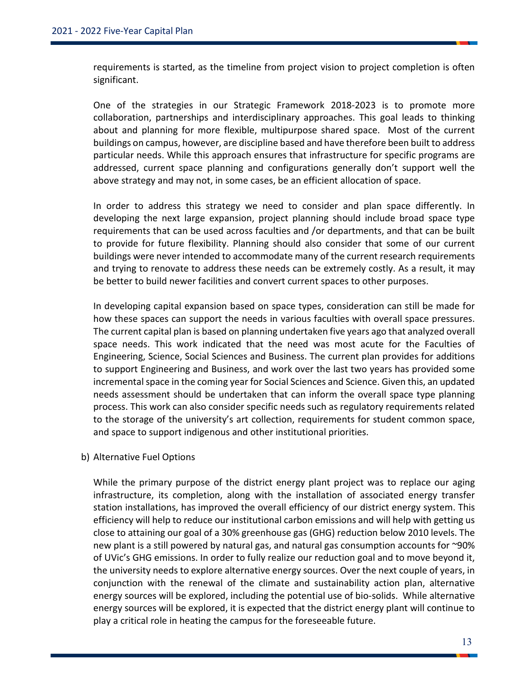requirements is started, as the timeline from project vision to project completion is often significant.

One of the strategies in our Strategic Framework 2018-2023 is to promote more collaboration, partnerships and interdisciplinary approaches. This goal leads to thinking about and planning for more flexible, multipurpose shared space. Most of the current buildings on campus, however, are discipline based and have therefore been built to address particular needs. While this approach ensures that infrastructure for specific programs are addressed, current space planning and configurations generally don't support well the above strategy and may not, in some cases, be an efficient allocation of space.

In order to address this strategy we need to consider and plan space differently. In developing the next large expansion, project planning should include broad space type requirements that can be used across faculties and /or departments, and that can be built to provide for future flexibility. Planning should also consider that some of our current buildings were never intended to accommodate many of the current research requirements and trying to renovate to address these needs can be extremely costly. As a result, it may be better to build newer facilities and convert current spaces to other purposes.

In developing capital expansion based on space types, consideration can still be made for how these spaces can support the needs in various faculties with overall space pressures. The current capital plan is based on planning undertaken five years ago that analyzed overall space needs. This work indicated that the need was most acute for the Faculties of Engineering, Science, Social Sciences and Business. The current plan provides for additions to support Engineering and Business, and work over the last two years has provided some incremental space in the coming year for Social Sciences and Science. Given this, an updated needs assessment should be undertaken that can inform the overall space type planning process. This work can also consider specific needs such as regulatory requirements related to the storage of the university's art collection, requirements for student common space, and space to support indigenous and other institutional priorities.

b) Alternative Fuel Options

While the primary purpose of the district energy plant project was to replace our aging infrastructure, its completion, along with the installation of associated energy transfer station installations, has improved the overall efficiency of our district energy system. This efficiency will help to reduce our institutional carbon emissions and will help with getting us close to attaining our goal of a 30% greenhouse gas (GHG) reduction below 2010 levels. The new plant is a still powered by natural gas, and natural gas consumption accounts for ~90% of UVic's GHG emissions. In order to fully realize our reduction goal and to move beyond it, the university needs to explore alternative energy sources. Over the next couple of years, in conjunction with the renewal of the climate and sustainability action plan, alternative energy sources will be explored, including the potential use of bio-solids. While alternative energy sources will be explored, it is expected that the district energy plant will continue to play a critical role in heating the campus for the foreseeable future.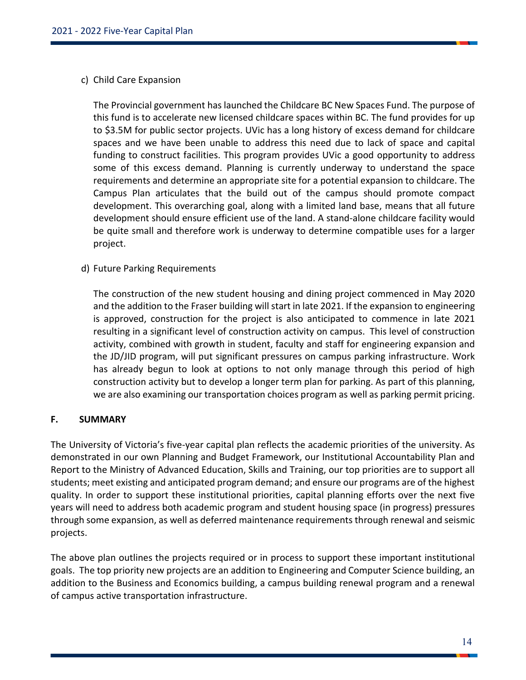#### c) Child Care Expansion

The Provincial government has launched the Childcare BC New Spaces Fund. The purpose of this fund is to accelerate new licensed childcare spaces within BC. The fund provides for up to \$3.5M for public sector projects. UVic has a long history of excess demand for childcare spaces and we have been unable to address this need due to lack of space and capital funding to construct facilities. This program provides UVic a good opportunity to address some of this excess demand. Planning is currently underway to understand the space requirements and determine an appropriate site for a potential expansion to childcare. The Campus Plan articulates that the build out of the campus should promote compact development. This overarching goal, along with a limited land base, means that all future development should ensure efficient use of the land. A stand-alone childcare facility would be quite small and therefore work is underway to determine compatible uses for a larger project.

#### d) Future Parking Requirements

The construction of the new student housing and dining project commenced in May 2020 and the addition to the Fraser building will start in late 2021. If the expansion to engineering is approved, construction for the project is also anticipated to commence in late 2021 resulting in a significant level of construction activity on campus. This level of construction activity, combined with growth in student, faculty and staff for engineering expansion and the JD/JID program, will put significant pressures on campus parking infrastructure. Work has already begun to look at options to not only manage through this period of high construction activity but to develop a longer term plan for parking. As part of this planning, we are also examining our transportation choices program as well as parking permit pricing.

#### **F. SUMMARY**

The University of Victoria's five-year capital plan reflects the academic priorities of the university. As demonstrated in our own Planning and Budget Framework, our Institutional Accountability Plan and Report to the Ministry of Advanced Education, Skills and Training, our top priorities are to support all students; meet existing and anticipated program demand; and ensure our programs are of the highest quality. In order to support these institutional priorities, capital planning efforts over the next five years will need to address both academic program and student housing space (in progress) pressures through some expansion, as well as deferred maintenance requirements through renewal and seismic projects.

The above plan outlines the projects required or in process to support these important institutional goals. The top priority new projects are an addition to Engineering and Computer Science building, an addition to the Business and Economics building, a campus building renewal program and a renewal of campus active transportation infrastructure.